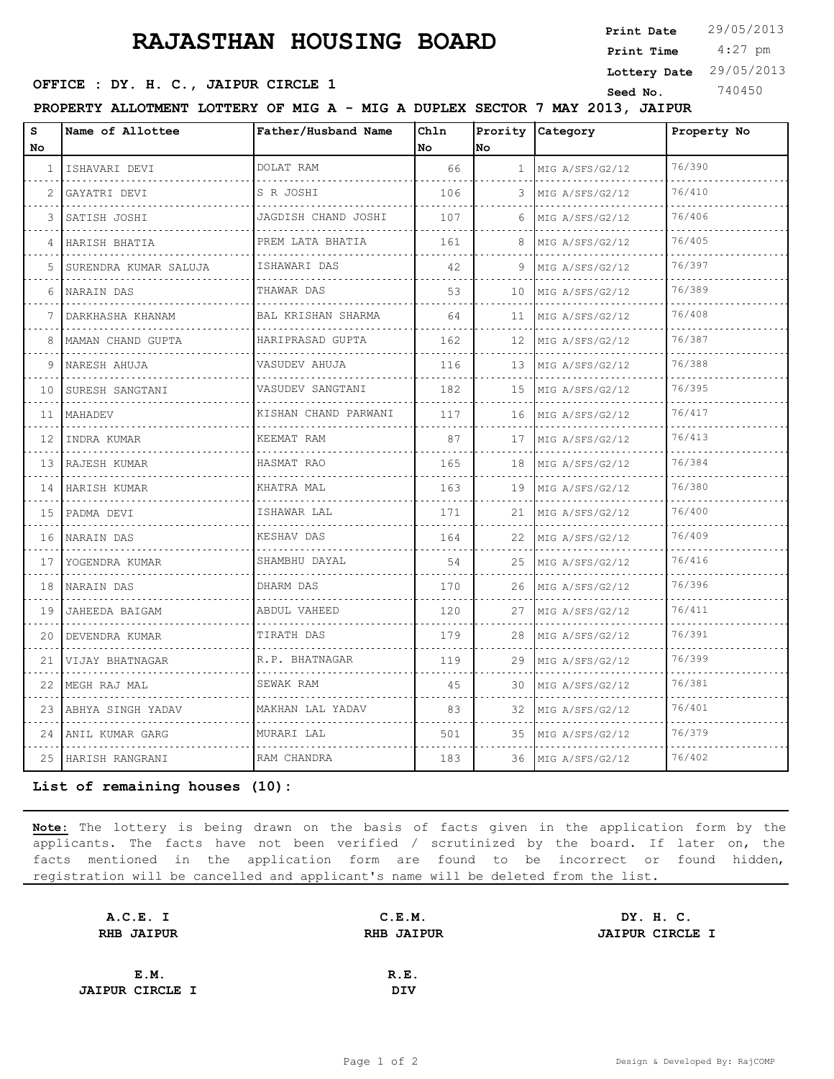## **RAJASTHAN HOUSING BOARD**

**Print Date**  $29/05/2013$ 

 4:27 pm **Print Time Lottery Date** 29/05/2013

## **SEED OFFICE : DY. H. C., JAIPUR CIRCLE 1 Seed No.** 740450

**PROPERTY ALLOTMENT LOTTERY OF MIG A - MIG A DUPLEX SECTOR 7 MAY 2013, JAIPUR**

| S<br>No      | Name of Allottee      | Father/Husband Name       | Chln<br>No | No           | Prority Category     | Property No |  |
|--------------|-----------------------|---------------------------|------------|--------------|----------------------|-------------|--|
| $\mathbf{1}$ | ISHAVARI DEVI         | DOLAT RAM                 | 66         | $\mathbf{1}$ | MIG A/SFS/G2/12      | 76/390      |  |
| 2            | GAYATRI DEVI          | S R JOSHI                 | 106        | 3            | .<br>MIG A/SFS/G2/12 | 76/410      |  |
| 3            | SATISH JOSHI          | JAGDISH CHAND JOSHI       | 107        | 6            | MIG A/SFS/G2/12      | 76/406      |  |
| 4            | .<br>HARISH BHATIA    | .<br>PREM LATA BHATIA     | 161        | 8            | MIG A/SFS/G2/12      | 76/405      |  |
| 5.           | SURENDRA KUMAR SALUJA | ISHAWARI DAS              | 42         | 9            | MIG A/SFS/G2/12      | 76/397      |  |
| 6            | NARAIN DAS            | THAWAR DAS                | 53         | 10           | MIG A/SFS/G2/12      | 76/389      |  |
|              | .<br>DARKHASHA KHANAM | .<br>BAL KRISHAN SHARMA   | 64         | 11           | MIG A/SFS/G2/12      | 76/408      |  |
| 8            | MAMAN CHAND GUPTA     | .<br>HARIPRASAD GUPTA     | 162        | 12           | MIG A/SFS/G2/12      | 76/387      |  |
| 9            | NARESH AHUJA          | .<br>VASUDEV AHUJA        | 116        | 13           | MIG A/SFS/G2/12      | 76/388      |  |
| 10           | SURESH SANGTANI       | VASUDEV SANGTANI          | 182        | 15           | MIG A/SFS/G2/12      | 76/395      |  |
| 11           | MAHADEV               | KISHAN CHAND PARWANI<br>. | 117        | 16           | MIG A/SFS/G2/12<br>. | 76/417      |  |
| 12           | INDRA KUMAR           | KEEMAT RAM                | 87         | 17           | MIG A/SFS/G2/12      | 76/413      |  |
| 13           | RAJESH KUMAR          | HASMAT RAO                | 165        | 18           | MIG A/SFS/G2/12      | 76/384      |  |
| 14           | .<br>HARISH KUMAR     | .<br>KHATRA MAL           | 163        | 19           | MIG A/SFS/G2/12      | 76/380      |  |
| 15           | PADMA DEVI            | ISHAWAR LAL               | 171        | 21           | MIG A/SFS/G2/12      | 76/400      |  |
| 16           | NARAIN DAS<br>.       | KESHAV DAS<br>.           | 164        | 22           | MIG A/SFS/G2/12      | 76/409      |  |
| 17           | YOGENDRA KUMAR        | SHAMBHU DAYAL             | 54         | 25           | MIG A/SFS/G2/12      | 76/416      |  |
| 18           | NARAIN DAS            | DHARM DAS                 | 170        | 26           | MIG A/SFS/G2/12      | 76/396      |  |
| 19           | JAHEEDA BAIGAM        | ABDUL VAHEED              | 120        | 27           | MIG A/SFS/G2/12      | 76/411      |  |
| 20           | DEVENDRA KUMAR        | TIRATH DAS                | 179        | 28           | MIG A/SFS/G2/12      | 76/391      |  |
| 21           | VIJAY BHATNAGAR       | R.P. BHATNAGAR            | 119        | 29           | MIG A/SFS/G2/12      | 76/399      |  |
| 22           | .<br>MEGH RAJ MAL     | SEWAK RAM                 | 45         | 30           | .<br>MIG A/SFS/G2/12 | 76/381      |  |
| 23           | ABHYA SINGH YADAV     | MAKHAN LAL YADAV          | 83         | 32           | MIG A/SFS/G2/12      | 76/401      |  |
|              | 24  ANIL KUMAR GARG   | MURARI LAL                | 501        | 35           | MIG A/SFS/G2/12      | 76/379      |  |
|              | 25 HARISH RANGRANI    | RAM CHANDRA               | 183        | 36           | MIG A/SFS/G2/12      | 76/402      |  |

**List of remaining houses (10):** 

**Note:** The lottery is being drawn on the basis of facts given in the application form by the applicants. The facts have not been verified / scrutinized by the board. If later on, the facts mentioned in the application form are found to be incorrect or found hidden, registration will be cancelled and applicant's name will be deleted from the list.

| A.C.E. I               | C.E.M.            | DY. H. C.              |
|------------------------|-------------------|------------------------|
| <b>RHB JAIPUR</b>      | <b>RHB JAIPUR</b> | <b>JAIPUR CIRCLE I</b> |
|                        |                   |                        |
| E.M.                   | R.E.              |                        |
| <b>JAIPUR CIRCLE I</b> | DIV               |                        |